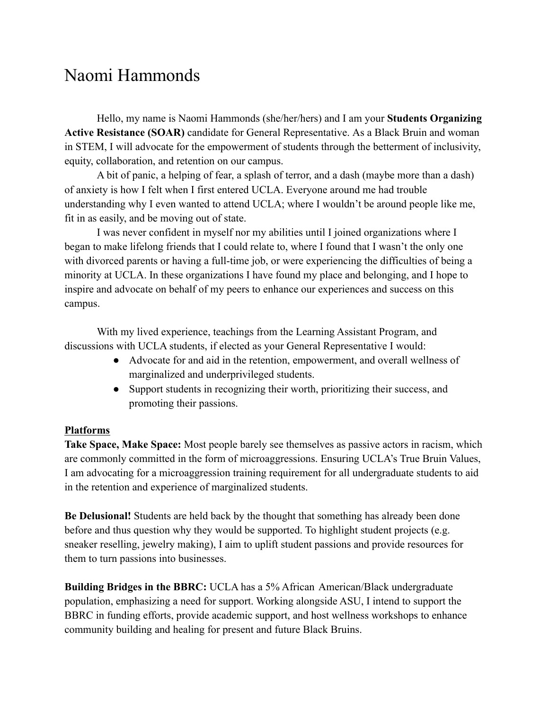## Naomi Hammonds

Hello, my name is Naomi Hammonds (she/her/hers) and I am your **Students Organizing Active Resistance (SOAR)** candidate for General Representative. As a Black Bruin and woman in STEM, I will advocate for the empowerment of students through the betterment of inclusivity, equity, collaboration, and retention on our campus.

A bit of panic, a helping of fear, a splash of terror, and a dash (maybe more than a dash) of anxiety is how I felt when I first entered UCLA. Everyone around me had trouble understanding why I even wanted to attend UCLA; where I wouldn't be around people like me, fit in as easily, and be moving out of state.

I was never confident in myself nor my abilities until I joined organizations where I began to make lifelong friends that I could relate to, where I found that I wasn't the only one with divorced parents or having a full-time job, or were experiencing the difficulties of being a minority at UCLA. In these organizations I have found my place and belonging, and I hope to inspire and advocate on behalf of my peers to enhance our experiences and success on this campus.

With my lived experience, teachings from the Learning Assistant Program, and discussions with UCLA students, if elected as your General Representative I would:

- Advocate for and aid in the retention, empowerment, and overall wellness of marginalized and underprivileged students.
- Support students in recognizing their worth, prioritizing their success, and promoting their passions.

## **Platforms**

**Take Space, Make Space:** Most people barely see themselves as passive actors in racism, which are commonly committed in the form of microaggressions. Ensuring UCLA's True Bruin Values, I am advocating for a microaggression training requirement for all undergraduate students to aid in the retention and experience of marginalized students.

**Be Delusional!** Students are held back by the thought that something has already been done before and thus question why they would be supported. To highlight student projects (e.g. sneaker reselling, jewelry making), I aim to uplift student passions and provide resources for them to turn passions into businesses.

**Building Bridges in the BBRC:** UCLA has a 5% African American/Black undergraduate population, emphasizing a need for support. Working alongside ASU, I intend to support the BBRC in funding efforts, provide academic support, and host wellness workshops to enhance community building and healing for present and future Black Bruins.